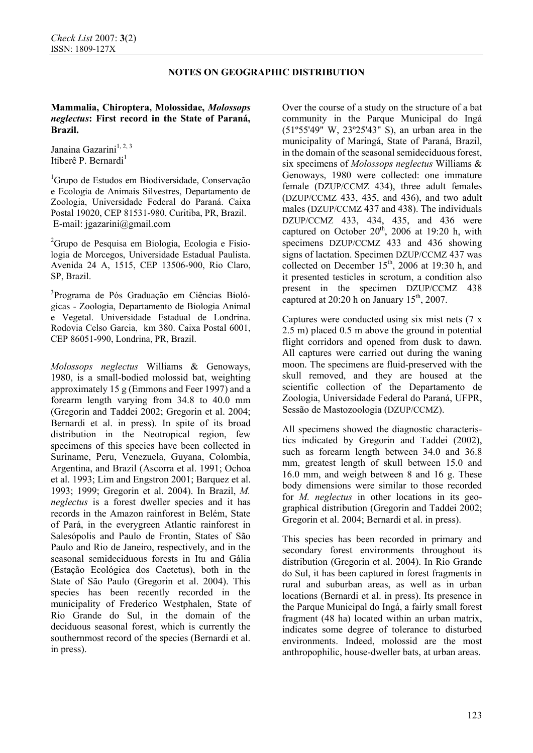# **NOTES ON GEOGRAPHIC DISTRIBUTION**

### **Mammalia, Chiroptera, Molossidae,** *Molossops neglectus***: First record in the State of Paraná, Brazil.**

Janaina Gazarini<sup>1, 2, 3</sup> Itiberê P. Bernardi<sup>1</sup>

1 Grupo de Estudos em Biodiversidade, Conservação e Ecologia de Animais Silvestres, Departamento de Zoologia, Universidade Federal do Paraná. Caixa Postal 19020, CEP 81531-980. Curitiba, PR, Brazil. E-mail: jgazarini@gmail.com

<sup>2</sup>Grupo de Pesquisa em Biologia, Ecologia e Fisiologia de Morcegos, Universidade Estadual Paulista. Avenida 24 A, 1515, CEP 13506-900, Rio Claro, SP, Brazil.

<sup>3</sup>Programa de Pós Graduação em Ciências Biológicas - Zoologia, Departamento de Biologia Animal e Vegetal. Universidade Estadual de Londrina. Rodovia Celso Garcia, km 380. Caixa Postal 6001, CEP 86051-990, Londrina, PR, Brazil.

*Molossops neglectus* Williams & Genoways, 1980, is a small-bodied molossid bat, weighting approximately 15 g (Emmons and Feer 1997) and a forearm length varying from 34.8 to 40.0 mm (Gregorin and Taddei 2002; Gregorin et al. 2004; Bernardi et al. in press). In spite of its broad distribution in the Neotropical region, few specimens of this species have been collected in Suriname, Peru, Venezuela, Guyana, Colombia, Argentina, and Brazil (Ascorra et al. 1991; Ochoa et al. 1993; Lim and Engstron 2001; Barquez et al. 1993; 1999; Gregorin et al. 2004). In Brazil, *M. neglectus* is a forest dweller species and it has records in the Amazon rainforest in Belém, State of Pará, in the everygreen Atlantic rainforest in Salesópolis and Paulo de Frontin, States of São Paulo and Rio de Janeiro, respectively, and in the seasonal semideciduous forests in Itu and Gália (Estação Ecológica dos Caetetus), both in the State of São Paulo (Gregorin et al. 2004). This species has been recently recorded in the municipality of Frederico Westphalen, State of Rio Grande do Sul, in the domain of the deciduous seasonal forest, which is currently the southernmost record of the species (Bernardi et al. in press).

Over the course of a study on the structure of a bat community in the Parque Municipal do Ingá (51º55'49" W, 23º25'43" S), an urban area in the municipality of Maringá, State of Paraná, Brazil, in the domain of the seasonal semideciduous forest, six specimens of *Molossops neglectus* Williams & Genoways, 1980 were collected: one immature female (DZUP/CCMZ 434), three adult females (DZUP/CCMZ 433, 435, and 436), and two adult males (DZUP/CCMZ 437 and 438). The individuals DZUP/CCMZ 433, 434, 435, and 436 were captured on October  $20<sup>th</sup>$ , 2006 at 19:20 h, with specimens DZUP/CCMZ 433 and 436 showing signs of lactation. Specimen DZUP/CCMZ 437 was collected on December 15<sup>th</sup>, 2006 at 19:30 h, and it presented testicles in scrotum, a condition also present in the specimen DZUP/CCMZ 438 captured at  $20:20$  h on January  $15<sup>th</sup>$ , 2007.

Captures were conducted using six mist nets (7 x 2.5 m) placed 0.5 m above the ground in potential flight corridors and opened from dusk to dawn. All captures were carried out during the waning moon. The specimens are fluid-preserved with the skull removed, and they are housed at the scientific collection of the Departamento de Zoologia, Universidade Federal do Paraná, UFPR, Sessão de Mastozoologia (DZUP/CCMZ).

All specimens showed the diagnostic characteristics indicated by Gregorin and Taddei (2002), such as forearm length between 34.0 and 36.8 mm, greatest length of skull between 15.0 and 16.0 mm, and weigh between 8 and 16 g. These body dimensions were similar to those recorded for *M. neglectus* in other locations in its geographical distribution (Gregorin and Taddei 2002; Gregorin et al. 2004; Bernardi et al. in press).

This species has been recorded in primary and secondary forest environments throughout its distribution (Gregorin et al. 2004). In Rio Grande do Sul, it has been captured in forest fragments in rural and suburban areas, as well as in urban locations (Bernardi et al. in press). Its presence in the Parque Municipal do Ingá, a fairly small forest fragment (48 ha) located within an urban matrix, indicates some degree of tolerance to disturbed environments. Indeed, molossid are the most anthropophilic, house-dweller bats, at urban areas.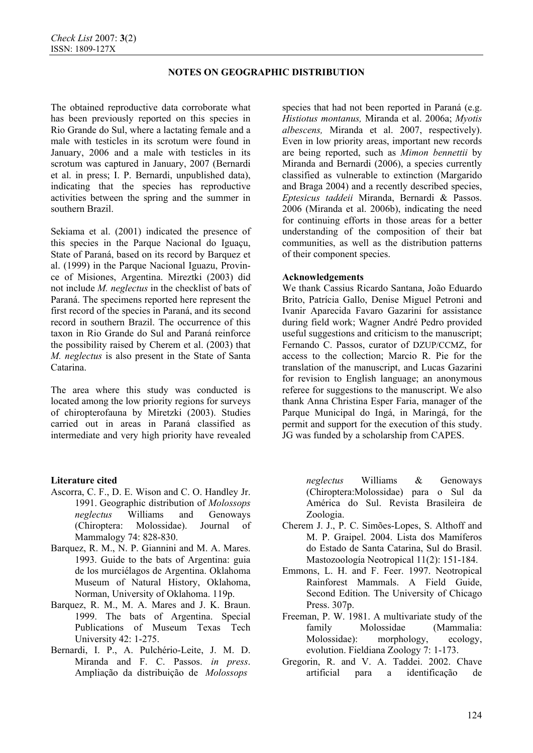# **NOTES ON GEOGRAPHIC DISTRIBUTION**

The obtained reproductive data corroborate what has been previously reported on this species in Rio Grande do Sul, where a lactating female and a male with testicles in its scrotum were found in January, 2006 and a male with testicles in its scrotum was captured in January, 2007 (Bernardi et al. in press; I. P. Bernardi, unpublished data), indicating that the species has reproductive activities between the spring and the summer in southern Brazil.

Sekiama et al. (2001) indicated the presence of this species in the Parque Nacional do Iguaçu, State of Paraná, based on its record by Barquez et al. (1999) in the Parque Nacional Iguazu, Province of Misiones, Argentina. Mireztki (2003) did not include *M. neglectus* in the checklist of bats of Paraná. The specimens reported here represent the first record of the species in Paraná, and its second record in southern Brazil. The occurrence of this taxon in Rio Grande do Sul and Paraná reinforce the possibility raised by Cherem et al. (2003) that *M. neglectus* is also present in the State of Santa Catarina.

The area where this study was conducted is located among the low priority regions for surveys of chiropterofauna by Miretzki (2003). Studies carried out in areas in Paraná classified as intermediate and very high priority have revealed

### **Literature cited**

- Ascorra, C. F., D. E. Wison and C. O. Handley Jr. 1991. Geographic distribution of *Molossops neglectus* Williams and Genoways (Chiroptera: Molossidae). Journal of Mammalogy 74: 828-830.
- Barquez, R. M., N. P. Giannini and M. A. Mares. 1993. Guide to the bats of Argentina: guia de los murciélagos de Argentina. Oklahoma Museum of Natural History, Oklahoma, Norman, University of Oklahoma. 119p.
- Barquez, R. M., M. A. Mares and J. K. Braun. 1999. The bats of Argentina. Special Publications of Museum Texas Tech University 42: 1-275.
- Bernardi, I. P., A. Pulchério-Leite, J. M. D. Miranda and F. C. Passos. *in press*. Ampliação da distribuição de *Molossops*

species that had not been reported in Paraná (e.g. *Histiotus montanus,* Miranda et al. 2006a; *Myotis albescens,* Miranda et al. 2007, respectively). Even in low priority areas, important new records are being reported, such as *Mimon bennettii* by Miranda and Bernardi (2006), a species currently classified as vulnerable to extinction (Margarido and Braga 2004) and a recently described species, *Eptesicus taddeii* Miranda, Bernardi & Passos. 2006 (Miranda et al. 2006b), indicating the need for continuing efforts in those areas for a better understanding of the composition of their bat communities, as well as the distribution patterns of their component species.

#### **Acknowledgements**

We thank Cassius Ricardo Santana, João Eduardo Brito, Patrícia Gallo, Denise Miguel Petroni and Ivanir Aparecida Favaro Gazarini for assistance during field work; Wagner André Pedro provided useful suggestions and criticism to the manuscript; Fernando C. Passos, curator of DZUP/CCMZ, for access to the collection; Marcio R. Pie for the translation of the manuscript, and Lucas Gazarini for revision to English language; an anonymous referee for suggestions to the manuscript. We also thank Anna Christina Esper Faria, manager of the Parque Municipal do Ingá, in Maringá, for the permit and support for the execution of this study. JG was funded by a scholarship from CAPES.

*neglectus* Williams & Genoways (Chiroptera:Molossidae) para o Sul da América do Sul. Revista Brasileira de Zoologia.

- Cherem J. J., P. C. Simões-Lopes, S. Althoff and M. P. Graipel. 2004. Lista dos Mamíferos do Estado de Santa Catarina, Sul do Brasil. Mastozoología Neotropical 11(2): 151-184.
- Emmons, L. H. and F. Feer. 1997. Neotropical Rainforest Mammals. A Field Guide, Second Edition. The University of Chicago Press. 307p.
- Freeman, P. W. 1981. A multivariate study of the family Molossidae (Mammalia: Molossidae): morphology, ecology, evolution. Fieldiana Zoology 7: 1-173.
- Gregorin, R. and V. A. Taddei. 2002. Chave artificial para a identificação de